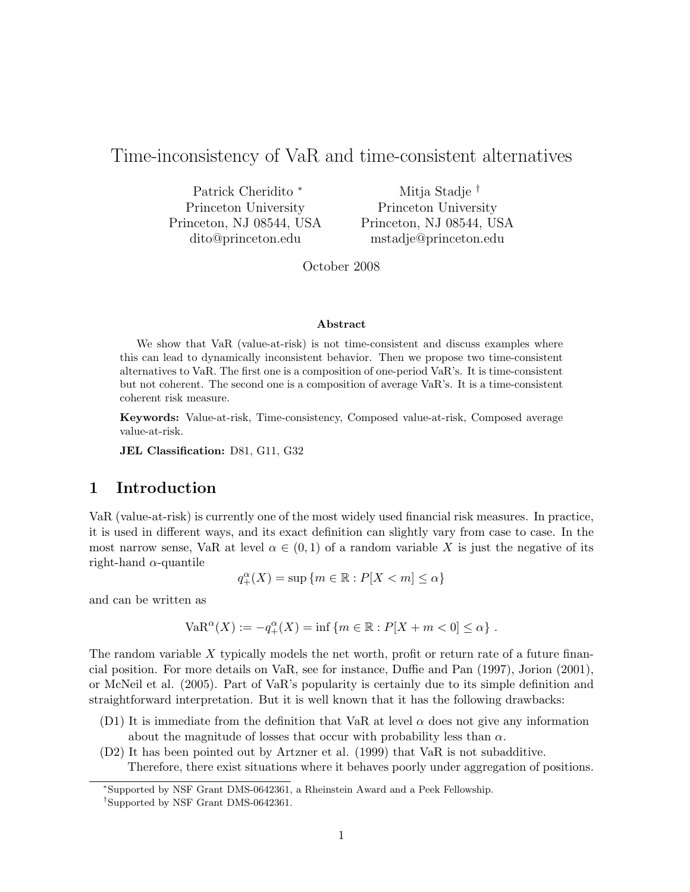# Time-inconsistency of VaR and time-consistent alternatives

Patrick Cheridito <sup>∗</sup> Princeton University Princeton, NJ 08544, USA dito@princeton.edu

Mitja Stadje † Princeton University Princeton, NJ 08544, USA mstadje@princeton.edu

October 2008

#### Abstract

We show that VaR (value-at-risk) is not time-consistent and discuss examples where this can lead to dynamically inconsistent behavior. Then we propose two time-consistent alternatives to VaR. The first one is a composition of one-period VaR's. It is time-consistent but not coherent. The second one is a composition of average VaR's. It is a time-consistent coherent risk measure.

Keywords: Value-at-risk, Time-consistency, Composed value-at-risk, Composed average value-at-risk.

JEL Classification: D81, G11, G32

# 1 Introduction

VaR (value-at-risk) is currently one of the most widely used financial risk measures. In practice, it is used in different ways, and its exact definition can slightly vary from case to case. In the most narrow sense, VaR at level  $\alpha \in (0,1)$  of a random variable X is just the negative of its right-hand  $\alpha$ -quantile

$$
q_+^{\alpha}(X) = \sup \{ m \in \mathbb{R} : P[X < m] \le \alpha \}
$$

and can be written as

VaR<sup>$$
\alpha
$$</sup> $(X) := -q^{\alpha}_{+}(X) = \inf \{ m \in \mathbb{R} : P[X + m < 0] \le \alpha \} .$ 

The random variable  $X$  typically models the net worth, profit or return rate of a future financial position. For more details on VaR, see for instance, Duffie and Pan (1997), Jorion (2001), or McNeil et al. (2005). Part of VaR's popularity is certainly due to its simple definition and straightforward interpretation. But it is well known that it has the following drawbacks:

- (D1) It is immediate from the definition that VaR at level  $\alpha$  does not give any information about the magnitude of losses that occur with probability less than  $\alpha$ .
- (D2) It has been pointed out by Artzner et al. (1999) that VaR is not subadditive. Therefore, there exist situations where it behaves poorly under aggregation of positions.

<sup>∗</sup>Supported by NSF Grant DMS-0642361, a Rheinstein Award and a Peek Fellowship.

<sup>†</sup>Supported by NSF Grant DMS-0642361.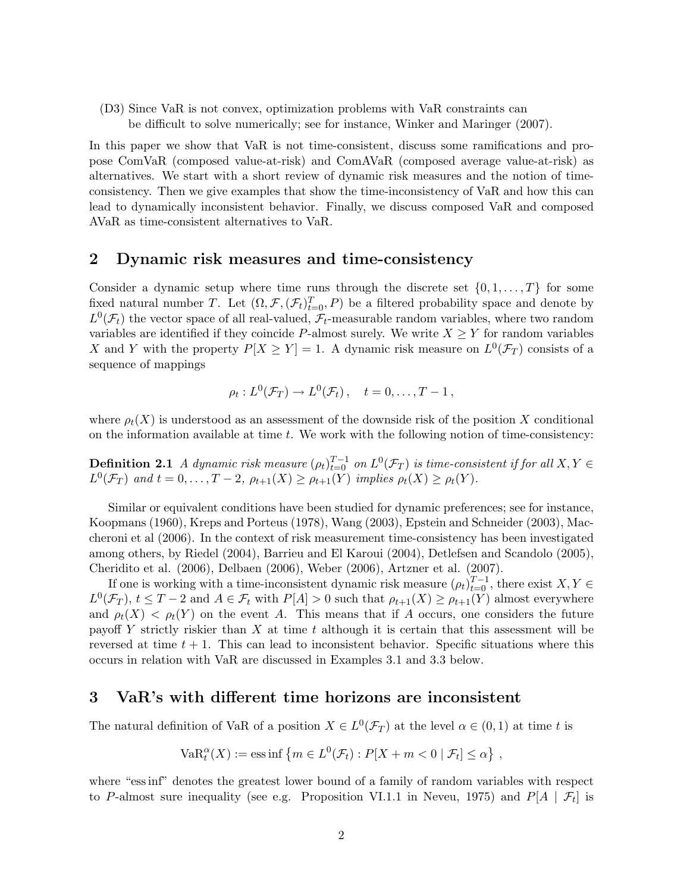(D3) Since VaR is not convex, optimization problems with VaR constraints can be difficult to solve numerically; see for instance, Winker and Maringer (2007).

In this paper we show that VaR is not time-consistent, discuss some ramifications and propose ComVaR (composed value-at-risk) and ComAVaR (composed average value-at-risk) as alternatives. We start with a short review of dynamic risk measures and the notion of timeconsistency. Then we give examples that show the time-inconsistency of VaR and how this can lead to dynamically inconsistent behavior. Finally, we discuss composed VaR and composed AVaR as time-consistent alternatives to VaR.

### 2 Dynamic risk measures and time-consistency

Consider a dynamic setup where time runs through the discrete set  $\{0, 1, \ldots, T\}$  for some fixed natural number T. Let  $(\Omega, \mathcal{F}, (\mathcal{F}_t)_{t=0}^T, P)$  be a filtered probability space and denote by  $L^0(\mathcal{F}_t)$  the vector space of all real-valued,  $\mathcal{F}_t$ -measurable random variables, where two random variables are identified if they coincide P-almost surely. We write  $X \geq Y$  for random variables X and Y with the property  $P[X \ge Y] = 1$ . A dynamic risk measure on  $L^0(\mathcal{F}_T)$  consists of a sequence of mappings

$$
\rho_t: L^0(\mathcal{F}_T) \to L^0(\mathcal{F}_t), \quad t = 0, \ldots, T-1,
$$

where  $\rho_t(X)$  is understood as an assessment of the downside risk of the position X conditional on the information available at time  $t$ . We work with the following notion of time-consistency:

**Definition 2.1** A dynamic risk measure  $(\rho_t)_{t=0}^{T-1}$  on  $L^0(\mathcal{F}_T)$  is time-consistent if for all  $X, Y \in$  $L^0(\mathcal{F}_T)$  and  $t = 0, \ldots, T-2$ ,  $\rho_{t+1}(X) \geq \rho_{t+1}(Y)$  implies  $\rho_t(X) \geq \rho_t(Y)$ .

Similar or equivalent conditions have been studied for dynamic preferences; see for instance, Koopmans (1960), Kreps and Porteus (1978), Wang (2003), Epstein and Schneider (2003), Maccheroni et al (2006). In the context of risk measurement time-consistency has been investigated among others, by Riedel (2004), Barrieu and El Karoui (2004), Detlefsen and Scandolo (2005), Cheridito et al. (2006), Delbaen (2006), Weber (2006), Artzner et al. (2007).

If one is working with a time-inconsistent dynamic risk measure  $(\rho_t)_{t=0}^{T-1}$ , there exist  $X, Y \in$  $L^0(\mathcal{F}_T)$ ,  $t \leq T-2$  and  $A \in \mathcal{F}_t$  with  $P[A] > 0$  such that  $\rho_{t+1}(X) \geq \rho_{t+1}(Y)$  almost everywhere and  $\rho_t(X) < \rho_t(Y)$  on the event A. This means that if A occurs, one considers the future payoff Y strictly riskier than X at time t although it is certain that this assessment will be reversed at time  $t + 1$ . This can lead to inconsistent behavior. Specific situations where this occurs in relation with VaR are discussed in Examples 3.1 and 3.3 below.

### 3 VaR's with different time horizons are inconsistent

The natural definition of VaR of a position  $X \in L^0(\mathcal{F}_T)$  at the level  $\alpha \in (0,1)$  at time t is

VaR<sub>t</sub><sup>$$
\alpha
$$</sup> $(X) := \text{ess inf }\{m \in L^0(\mathcal{F}_t) : P[X + m < 0 \mid \mathcal{F}_t] \leq \alpha\},\$ 

where "ess inf" denotes the greatest lower bound of a family of random variables with respect to P-almost sure inequality (see e.g. Proposition VI.1.1 in Neveu, 1975) and  $P[A | \mathcal{F}_t]$  is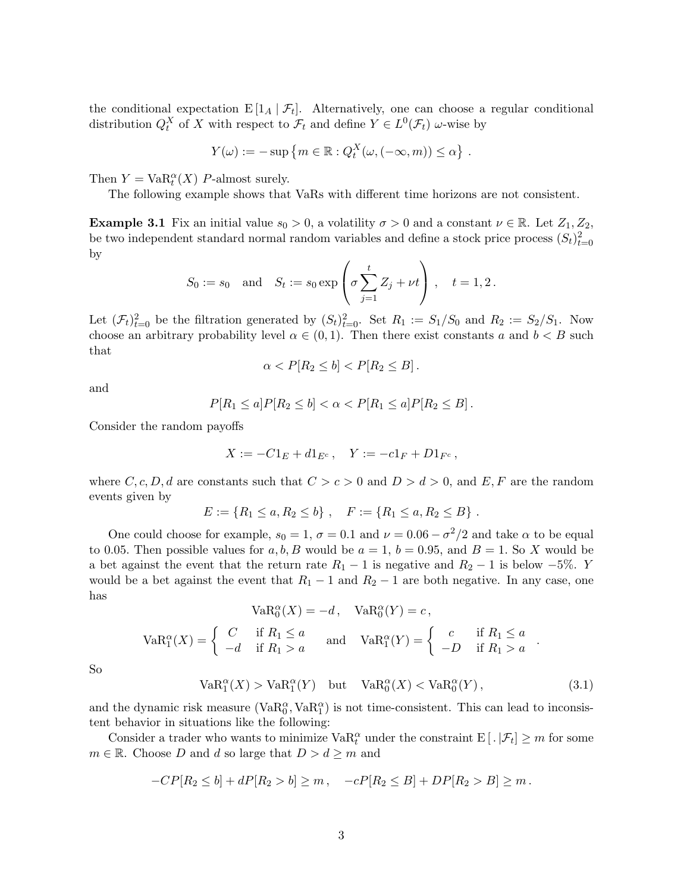the conditional expectation  $E[I_A | \mathcal{F}_t]$ . Alternatively, one can choose a regular conditional distribution  $Q_t^X$  of X with respect to  $\mathcal{F}_t$  and define  $Y \in L^0(\mathcal{F}_t)$  w-wise by

$$
Y(\omega) := -\sup \{m \in \mathbb{R} : Q_t^X(\omega, (-\infty, m)) \leq \alpha \}.
$$

Then  $Y = \text{VaR}_t^{\alpha}(X)$  P-almost surely.

The following example shows that VaRs with different time horizons are not consistent.

**Example 3.1** Fix an initial value  $s_0 > 0$ , a volatility  $\sigma > 0$  and a constant  $\nu \in \mathbb{R}$ . Let  $Z_1, Z_2$ , be two independent standard normal random variables and define a stock price process  $(S_t)_{t=0}^2$ by  $\overline{1}$  $\mathbf{r}$ 

$$
S_0 := s_0 \quad \text{and} \quad S_t := s_0 \exp\left(\sigma \sum_{j=1}^t Z_j + \nu t\right), \quad t = 1, 2.
$$

Let  $(\mathcal{F}_t)_{t=0}^2$  be the filtration generated by  $(S_t)_{t=0}^2$ . Set  $R_1 := S_1/S_0$  and  $R_2 := S_2/S_1$ . Now choose an arbitrary probability level  $\alpha \in (0,1)$ . Then there exist constants a and  $b < B$  such that

$$
\alpha < P[R_2 \le b] < P[R_2 \le B].
$$

and

$$
P[R_1 \le a]P[R_2 \le b] < \alpha < P[R_1 \le a]P[R_2 \le B].
$$

Consider the random payoffs

$$
X := -C1_E + d1_{E^c}, \quad Y := -c1_F + D1_{F^c},
$$

where C, c, D, d are constants such that  $C > c > 0$  and  $D > d > 0$ , and E, F are the random events given by

$$
E := \{ R_1 \le a, R_2 \le b \}, \quad F := \{ R_1 \le a, R_2 \le B \}.
$$

One could choose for example,  $s_0 = 1$ ,  $\sigma = 0.1$  and  $\nu = 0.06 - \sigma^2/2$  and take  $\alpha$  to be equal to 0.05. Then possible values for a, b, B would be  $a = 1$ ,  $b = 0.95$ , and  $B = 1$ . So X would be a bet against the event that the return rate  $R_1 - 1$  is negative and  $R_2 - 1$  is below  $-5\%$ . Y would be a bet against the event that  $R_1 - 1$  and  $R_2 - 1$  are both negative. In any case, one has

$$
VaR_0^{\alpha}(X) = -d, \quad VaR_0^{\alpha}(Y) = c,
$$
  
\n
$$
VaR_1^{\alpha}(X) = \begin{cases} C & \text{if } R_1 \le a \\ -d & \text{if } R_1 > a \end{cases} \quad \text{and} \quad VaR_1^{\alpha}(Y) = \begin{cases} c & \text{if } R_1 \le a \\ -D & \text{if } R_1 > a \end{cases}.
$$

So

$$
VaR_1^{\alpha}(X) > VaR_1^{\alpha}(Y) \quad \text{but} \quad VaR_0^{\alpha}(X) < VaR_0^{\alpha}(Y), \tag{3.1}
$$

and the dynamic risk measure  $(\text{VaR}_0^{\alpha}, \text{VaR}_1^{\alpha})$  is not time-consistent. This can lead to inconsistent behavior in situations like the following:

Consider a trader who wants to minimize  $VaR_t^{\alpha}$  under the constraint  $E[ . | \mathcal{F}_t] \geq m$  for some  $m \in \mathbb{R}$ . Choose D and d so large that  $D > d \geq m$  and

$$
-CP[R_2 \le b] + dP[R_2 > b] \ge m, \quad -cP[R_2 \le B] + DP[R_2 > B] \ge m.
$$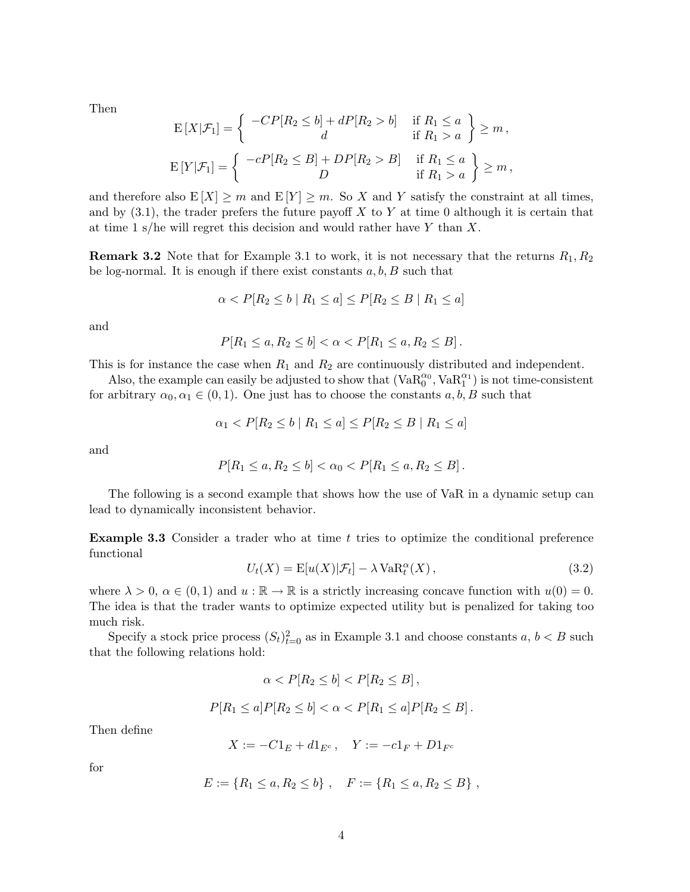Then

$$
E[X|\mathcal{F}_1] = \left\{ \begin{array}{c} -CP[R_2 \le b] + dP[R_2 > b] & \text{if } R_1 \le a \\ d & \text{if } R_1 > a \end{array} \right\} \ge m,
$$
  

$$
E[Y|\mathcal{F}_1] = \left\{ \begin{array}{c} -cP[R_2 \le B] + DP[R_2 > B] & \text{if } R_1 \le a \\ D & \text{if } R_1 > a \end{array} \right\} \ge m,
$$

and therefore also  $E[X] \geq m$  and  $E[Y] \geq m$ . So X and Y satisfy the constraint at all times, and by  $(3.1)$ , the trader prefers the future payoff X to Y at time 0 although it is certain that at time 1 s/he will regret this decision and would rather have Y than  $X$ .

**Remark 3.2** Note that for Example 3.1 to work, it is not necessary that the returns  $R_1, R_2$ be log-normal. It is enough if there exist constants  $a, b, B$  such that

$$
\alpha < P[R_2 \le b \mid R_1 \le a] \le P[R_2 \le B \mid R_1 \le a]
$$

and

$$
P[R_1 \le a, R_2 \le b] < \alpha < P[R_1 \le a, R_2 \le B].
$$

This is for instance the case when  $R_1$  and  $R_2$  are continuously distributed and independent.

Also, the example can easily be adjusted to show that  $(VaR_0^{\alpha_0}, VaR_1^{\alpha_1})$  is not time-consistent for arbitrary  $\alpha_0, \alpha_1 \in (0, 1)$ . One just has to choose the constants  $a, b, B$  such that

$$
\alpha_1 < P[R_2 \le b \mid R_1 \le a] \le P[R_2 \le B \mid R_1 \le a]
$$

and

$$
P[R_1 \le a, R_2 \le b] < \alpha_0 < P[R_1 \le a, R_2 \le B].
$$

The following is a second example that shows how the use of VaR in a dynamic setup can lead to dynamically inconsistent behavior.

**Example 3.3** Consider a trader who at time  $t$  tries to optimize the conditional preference functional

$$
U_t(X) = \mathbb{E}[u(X)|\mathcal{F}_t] - \lambda \operatorname{VaR}_t^{\alpha}(X), \qquad (3.2)
$$

where  $\lambda > 0$ ,  $\alpha \in (0, 1)$  and  $u : \mathbb{R} \to \mathbb{R}$  is a strictly increasing concave function with  $u(0) = 0$ . The idea is that the trader wants to optimize expected utility but is penalized for taking too much risk.

Specify a stock price process  $(S_t)_{t=0}^2$  as in Example 3.1 and choose constants  $a, b < B$  such that the following relations hold:

$$
\alpha < P[R_2 \le b] < P[R_2 \le B],
$$
\n
$$
P[R_1 \le a]P[R_2 \le b] < \alpha < P[R_1 \le a]P[R_2 \le B]
$$

Then define

$$
X := -C1_E + d1_{E^c}, \quad Y := -c1_F + D1_{F^c}
$$

for

$$
E := \{ R_1 \le a, R_2 \le b \}, \quad F := \{ R_1 \le a, R_2 \le B \},
$$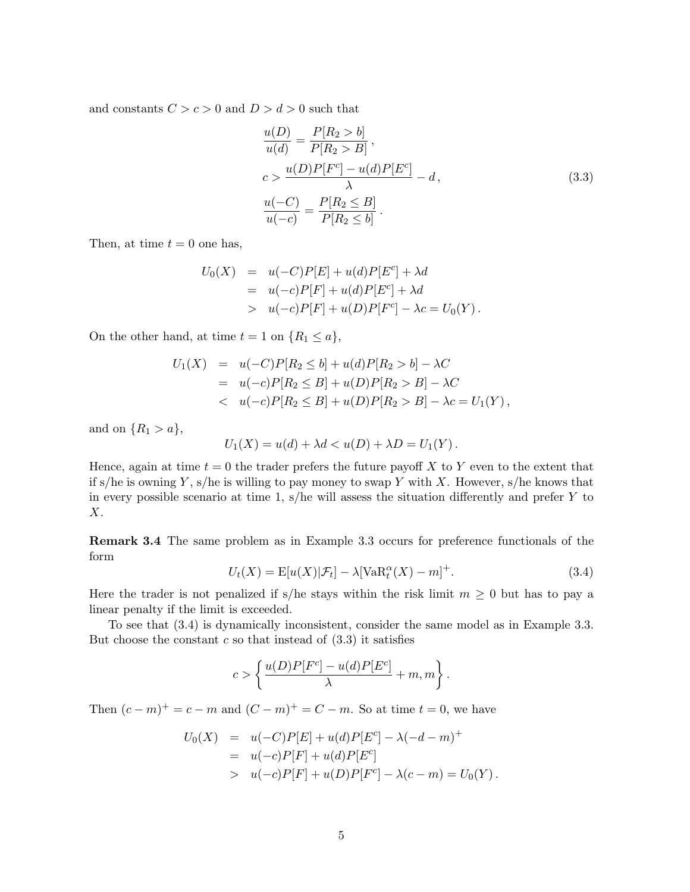and constants  $C > c > 0$  and  $D > d > 0$  such that

$$
\frac{u(D)}{u(d)} = \frac{P[R_2 > b]}{P[R_2 > B]},
$$
\n
$$
c > \frac{u(D)P[F^c] - u(d)P[E^c]}{\lambda} - d,
$$
\n
$$
\frac{u(-C)}{u(-c)} = \frac{P[R_2 \le B]}{P[R_2 \le b]}.
$$
\n(3.3)

Then, at time  $t = 0$  one has,

$$
U_0(X) = u(-C)P[E] + u(d)P[E^c] + \lambda d
$$
  
=  $u(-c)P[F] + u(d)P[E^c] + \lambda d$   
>  $u(-c)P[F] + u(D)P[F^c] - \lambda c = U_0(Y)$ .

On the other hand, at time  $t = 1$  on  $\{R_1 \le a\}$ ,

$$
U_1(X) = u(-C)P[R_2 \le b] + u(d)P[R_2 > b] - \lambda C
$$
  
=  $u(-c)P[R_2 \le B] + u(D)P[R_2 > B] - \lambda C$   
<  $u(-c)P[R_2 \le B] + u(D)P[R_2 > B] - \lambda c = U_1(Y)$ ,

and on  $\{R_1 > a\},\$ 

$$
U_1(X) = u(d) + \lambda d < u(D) + \lambda D = U_1(Y) \, .
$$

Hence, again at time  $t = 0$  the trader prefers the future payoff X to Y even to the extent that if s/he is owning Y, s/he is willing to pay money to swap Y with X. However, s/he knows that in every possible scenario at time 1,  $s$ /he will assess the situation differently and prefer Y to  $X$ .

Remark 3.4 The same problem as in Example 3.3 occurs for preference functionals of the form

$$
U_t(X) = \mathbb{E}[u(X)|\mathcal{F}_t] - \lambda[\text{VaR}_t^{\alpha}(X) - m]^+.
$$
\n(3.4)

Here the trader is not penalized if s/he stays within the risk limit  $m \geq 0$  but has to pay a linear penalty if the limit is exceeded.

To see that (3.4) is dynamically inconsistent, consider the same model as in Example 3.3. But choose the constant  $c$  so that instead of  $(3.3)$  it satisfies

$$
c > \left\{ \frac{u(D)P[F^c] - u(d)P[E^c]}{\lambda} + m, m \right\}.
$$

Then  $(c - m)^+ = c - m$  and  $(C - m)^+ = C - m$ . So at time  $t = 0$ , we have

$$
U_0(X) = u(-C)P[E] + u(d)P[E^c] - \lambda(-d - m)^+ = u(-c)P[F] + u(d)P[E^c] > u(-c)P[F] + u(D)P[F^c] - \lambda(c - m) = U_0(Y).
$$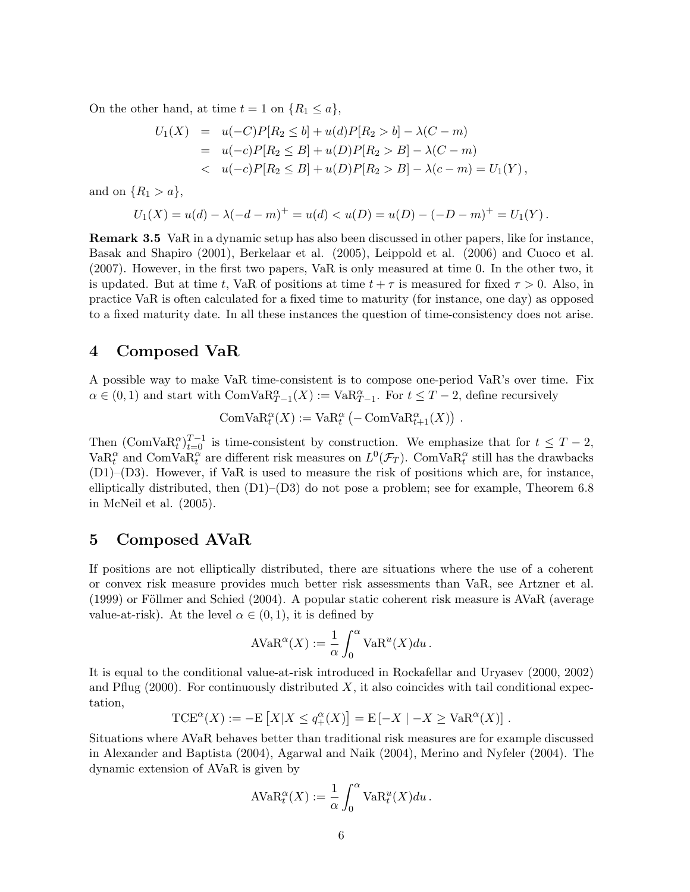On the other hand, at time  $t = 1$  on  $\{R_1 \le a\}$ ,

$$
U_1(X) = u(-C)P[R_2 \le b] + u(d)P[R_2 > b] - \lambda(C - m)
$$
  
=  $u(-c)P[R_2 \le B] + u(D)P[R_2 > B] - \lambda(C - m)$   
 $< u(-c)P[R_2 \le B] + u(D)P[R_2 > B] - \lambda(c - m) = U_1(Y),$ 

and on  $\{R_1 > a\},\$ 

$$
U_1(X) = u(d) - \lambda(-d - m)^+ = u(d) < u(D) = u(D) - (-D - m)^+ = U_1(Y).
$$

Remark 3.5 VaR in a dynamic setup has also been discussed in other papers, like for instance, Basak and Shapiro (2001), Berkelaar et al. (2005), Leippold et al. (2006) and Cuoco et al. (2007). However, in the first two papers, VaR is only measured at time 0. In the other two, it is updated. But at time t, VaR of positions at time  $t + \tau$  is measured for fixed  $\tau > 0$ . Also, in practice VaR is often calculated for a fixed time to maturity (for instance, one day) as opposed to a fixed maturity date. In all these instances the question of time-consistency does not arise.

# 4 Composed VaR

A possible way to make VaR time-consistent is to compose one-period VaR's over time. Fix  $\alpha \in (0,1)$  and start with ComVa $R_{T-1}^{\alpha}(X) := \text{VaR}_{T-1}^{\alpha}$ . For  $t \leq T-2$ , define recursively

 $\mathrm{ComVaR}_t^{\alpha}(X) := \mathrm{VaR}_t^{\alpha}$  $\left(-\text{ComVaR}_{t+1}^{\alpha}(X)\right)$ ¢ .

Then  $(\text{ComVaR}_{t}^{\alpha})_{t=0}^{T-1}$  is time-consistent by construction. We emphasize that for  $t \leq T-2$ , Va $R_t^{\alpha}$  and ComVa $R_t^{\alpha}$  are different risk measures on  $L^0(\mathcal{F}_T)$ . ComVa $R_t^{\alpha}$  still has the drawbacks (D1)–(D3). However, if VaR is used to measure the risk of positions which are, for instance, elliptically distributed, then  $(D1)$ – $(D3)$  do not pose a problem; see for example, Theorem 6.8 in McNeil et al. (2005).

# 5 Composed AVaR

If positions are not elliptically distributed, there are situations where the use of a coherent or convex risk measure provides much better risk assessments than VaR, see Artzner et al.  $(1999)$  or Föllmer and Schied  $(2004)$ . A popular static coherent risk measure is AVaR (average value-at-risk). At the level  $\alpha \in (0,1)$ , it is defined by

$$
A VaR^{\alpha}(X) := \frac{1}{\alpha} \int_0^{\alpha} VaR^u(X) du.
$$

It is equal to the conditional value-at-risk introduced in Rockafellar and Uryasev (2000, 2002) and Pflug (2000). For continuously distributed  $X$ , it also coincides with tail conditional expectation, £ l<br>E

$$
TCE^{\alpha}(X) := -E[X|X \le q^{\alpha}_{+}(X)] = E[-X | -X \ge VaR^{\alpha}(X)].
$$

Situations where AVaR behaves better than traditional risk measures are for example discussed in Alexander and Baptista (2004), Agarwal and Naik (2004), Merino and Nyfeler (2004). The dynamic extension of AVaR is given by

$$
A \text{VaR}_t^{\alpha}(X) := \frac{1}{\alpha} \int_0^{\alpha} \text{VaR}_t^u(X) du.
$$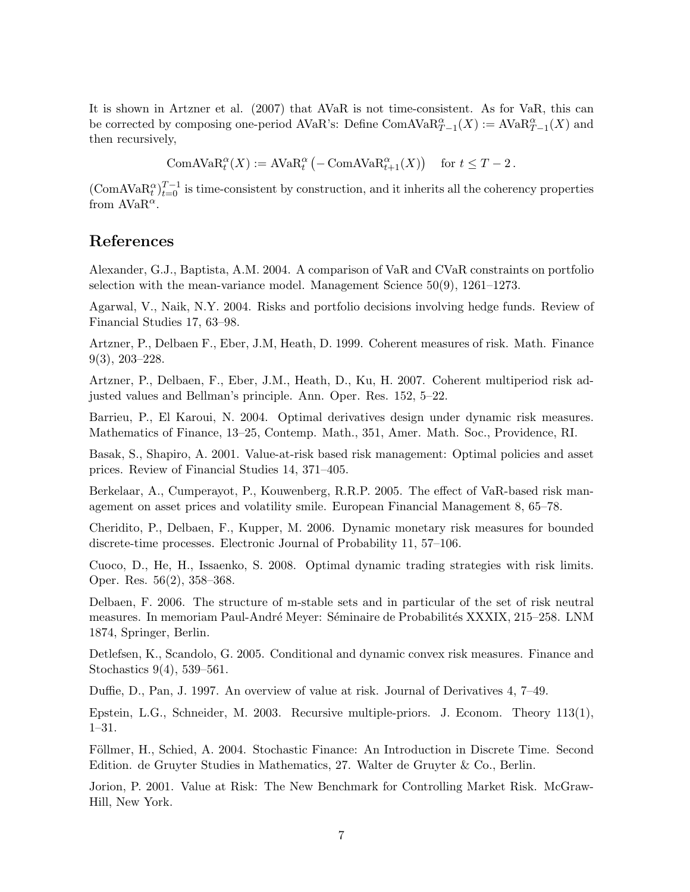It is shown in Artzner et al. (2007) that AVaR is not time-consistent. As for VaR, this can be corrected by composing one-period AVaR's: Define ComAVa $R_{T-1}^{\alpha}(X) := AVaR_{T-1}^{\alpha}(X)$  and then recursively,

> ComAVa $R_t^{\alpha}(X) := AVaR_t^{\alpha}$  $\left(-\text{ComAVAR}_{t+1}^{\alpha}(X)\right)$ ¢ for  $t \leq T-2$ .

 $(\text{ComAVAR}_{t}^{\alpha})_{t=0}^{T-1}$  is time-consistent by construction, and it inherits all the coherency properties from  $AVaR^{\alpha}$ .

# References

Alexander, G.J., Baptista, A.M. 2004. A comparison of VaR and CVaR constraints on portfolio selection with the mean-variance model. Management Science 50(9), 1261–1273.

Agarwal, V., Naik, N.Y. 2004. Risks and portfolio decisions involving hedge funds. Review of Financial Studies 17, 63–98.

Artzner, P., Delbaen F., Eber, J.M, Heath, D. 1999. Coherent measures of risk. Math. Finance 9(3), 203–228.

Artzner, P., Delbaen, F., Eber, J.M., Heath, D., Ku, H. 2007. Coherent multiperiod risk adjusted values and Bellman's principle. Ann. Oper. Res. 152, 5–22.

Barrieu, P., El Karoui, N. 2004. Optimal derivatives design under dynamic risk measures. Mathematics of Finance, 13–25, Contemp. Math., 351, Amer. Math. Soc., Providence, RI.

Basak, S., Shapiro, A. 2001. Value-at-risk based risk management: Optimal policies and asset prices. Review of Financial Studies 14, 371–405.

Berkelaar, A., Cumperayot, P., Kouwenberg, R.R.P. 2005. The effect of VaR-based risk management on asset prices and volatility smile. European Financial Management 8, 65–78.

Cheridito, P., Delbaen, F., Kupper, M. 2006. Dynamic monetary risk measures for bounded discrete-time processes. Electronic Journal of Probability 11, 57–106.

Cuoco, D., He, H., Issaenko, S. 2008. Optimal dynamic trading strategies with risk limits. Oper. Res. 56(2), 358–368.

Delbaen, F. 2006. The structure of m-stable sets and in particular of the set of risk neutral measures. In memoriam Paul-André Meyer: Séminaire de Probabilités XXXIX, 215–258. LNM 1874, Springer, Berlin.

Detlefsen, K., Scandolo, G. 2005. Conditional and dynamic convex risk measures. Finance and Stochastics 9(4), 539–561.

Duffie, D., Pan, J. 1997. An overview of value at risk. Journal of Derivatives 4, 7–49.

Epstein, L.G., Schneider, M. 2003. Recursive multiple-priors. J. Econom. Theory 113(1), 1–31.

Föllmer, H., Schied, A. 2004. Stochastic Finance: An Introduction in Discrete Time. Second Edition. de Gruyter Studies in Mathematics, 27. Walter de Gruyter & Co., Berlin.

Jorion, P. 2001. Value at Risk: The New Benchmark for Controlling Market Risk. McGraw-Hill, New York.